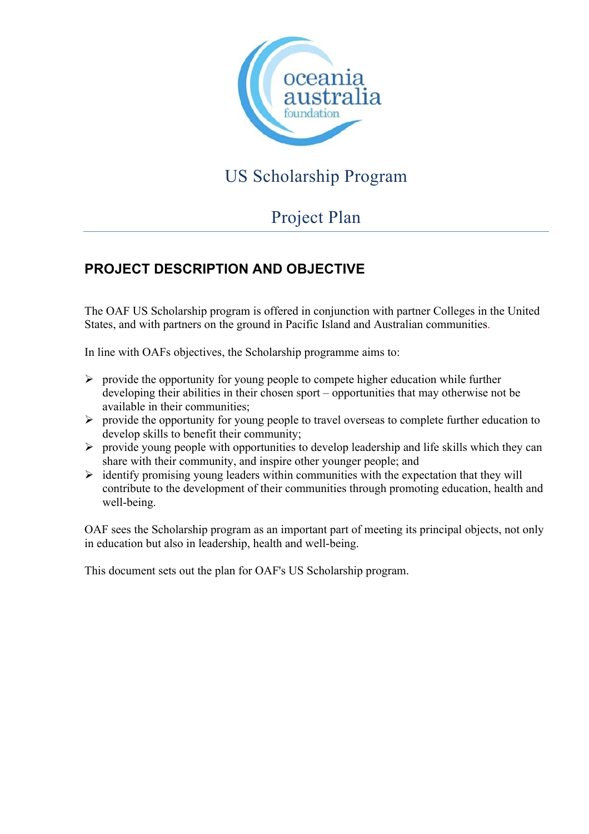

## US Scholarship Program

## Project Plan

## **PROJECT DESCRIPTION AND OBJECTIVE**

The OAF US Scholarship program is offered in conjunction with partner Colleges in the United States, and with partners on the ground in Pacific Island and Australian communities.

In line with OAFs objectives, the Scholarship programme aims to:

- $\triangleright$  provide the opportunity for young people to compete higher education while further developing their abilities in their chosen sport – opportunities that may otherwise not be available in their communities;
- $\triangleright$  provide the opportunity for young people to travel overseas to complete further education to develop skills to benefit their community;
- $\triangleright$  provide young people with opportunities to develop leadership and life skills which they can share with their community, and inspire other younger people; and
- $\triangleright$  identify promising young leaders within communities with the expectation that they will contribute to the development of their communities through promoting education, health and well-being.

OAF sees the Scholarship program as an important part of meeting its principal objects, not only in education but also in leadership, health and well-being.

This document sets out the plan for OAF's US Scholarship program.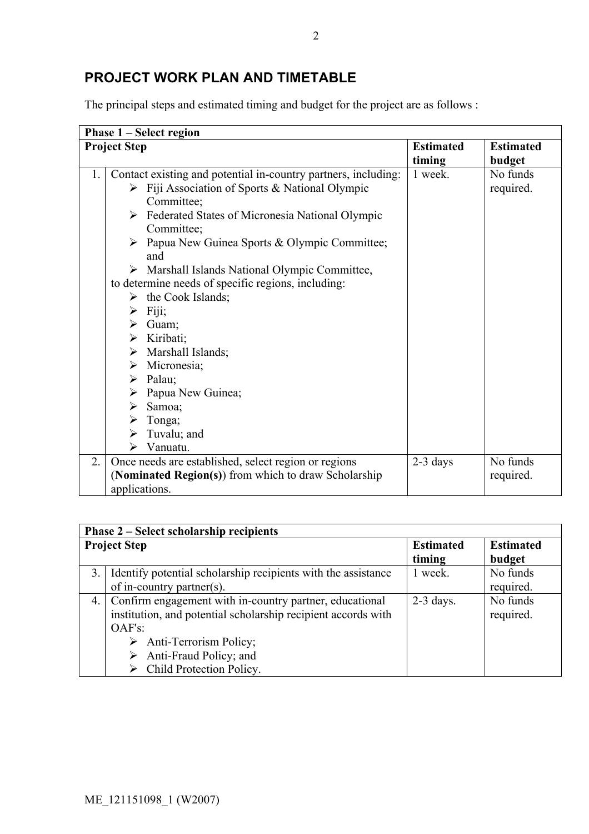## **PROJECT WORK PLAN AND TIMETABLE**

The principal steps and estimated timing and budget for the project are as follows :

| Phase 1 – Select region |                                                                  |                  |                  |
|-------------------------|------------------------------------------------------------------|------------------|------------------|
| <b>Project Step</b>     |                                                                  | <b>Estimated</b> | <b>Estimated</b> |
|                         |                                                                  | timing           | budget           |
| 1.                      | Contact existing and potential in-country partners, including:   | 1 week.          | No funds         |
|                         | Fiji Association of Sports & National Olympic<br>➤               |                  | required.        |
|                         | Committee;                                                       |                  |                  |
|                         | $\triangleright$ Federated States of Micronesia National Olympic |                  |                  |
|                         | Committee;                                                       |                  |                  |
|                         | > Papua New Guinea Sports & Olympic Committee;                   |                  |                  |
|                         | and                                                              |                  |                  |
|                         | $\triangleright$ Marshall Islands National Olympic Committee,    |                  |                  |
|                         | to determine needs of specific regions, including:               |                  |                  |
|                         | $\triangleright$ the Cook Islands;                               |                  |                  |
|                         | Fiji;<br>➤                                                       |                  |                  |
|                         | Guam;                                                            |                  |                  |
|                         | $\triangleright$ Kiribati;                                       |                  |                  |
|                         | $\triangleright$ Marshall Islands;                               |                  |                  |
|                         | $\triangleright$ Micronesia;                                     |                  |                  |
|                         | $\triangleright$ Palau;                                          |                  |                  |
|                         | $\triangleright$ Papua New Guinea;                               |                  |                  |
|                         | Samoa;<br>≻                                                      |                  |                  |
|                         | $\triangleright$ Tonga;                                          |                  |                  |
|                         | Tuvalu; and<br>➤                                                 |                  |                  |
|                         | Vanuatu.<br>➤                                                    |                  |                  |
| 2.                      | Once needs are established, select region or regions             | $2-3$ days       | No funds         |
|                         | (Nominated Region(s)) from which to draw Scholarship             |                  | required.        |
|                         | applications.                                                    |                  |                  |

| <b>Phase 2 – Select scholarship recipients</b> |                                                                 |                  |                  |
|------------------------------------------------|-----------------------------------------------------------------|------------------|------------------|
| <b>Project Step</b>                            |                                                                 | <b>Estimated</b> | <b>Estimated</b> |
|                                                |                                                                 | timing           | budget           |
| 3.1                                            | I Identify potential scholarship recipients with the assistance | 1 week.          | No funds         |
|                                                | of in-country partner(s).                                       |                  | required.        |
| 4.                                             | Confirm engagement with in-country partner, educational         | $2-3$ days.      | No funds         |
|                                                | institution, and potential scholarship recipient accords with   |                  | required.        |
|                                                | OAF's:                                                          |                  |                  |
|                                                | Anti-Terrorism Policy;<br>➤                                     |                  |                  |
|                                                | Anti-Fraud Policy; and<br>➤                                     |                  |                  |
|                                                | Child Protection Policy.                                        |                  |                  |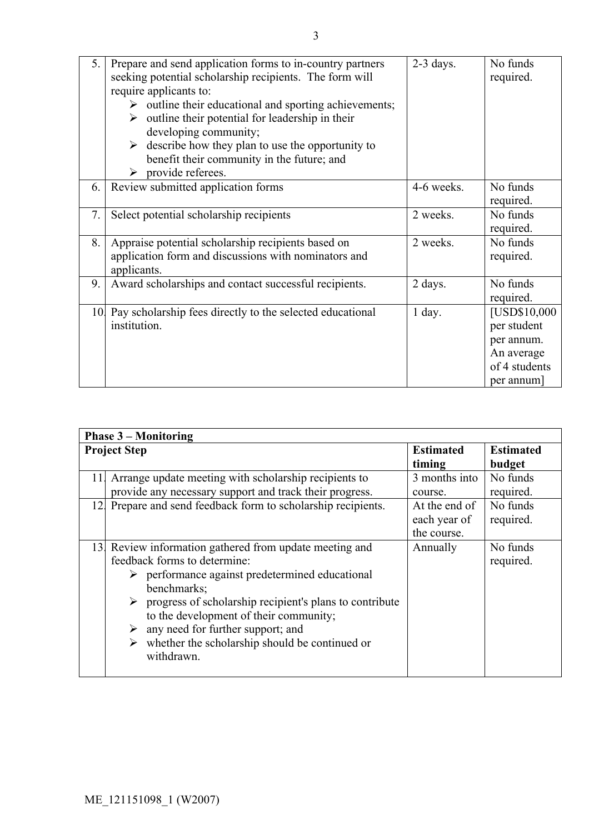| 5. | Prepare and send application forms to in-country partners     | $2-3$ days. | No funds      |
|----|---------------------------------------------------------------|-------------|---------------|
|    | seeking potential scholarship recipients. The form will       |             | required.     |
|    | require applicants to:                                        |             |               |
|    | outline their educational and sporting achievements;          |             |               |
|    | outline their potential for leadership in their               |             |               |
|    | developing community;                                         |             |               |
|    | describe how they plan to use the opportunity to<br>➤         |             |               |
|    | benefit their community in the future; and                    |             |               |
|    | provide referees.<br>➤                                        |             |               |
| 6. | Review submitted application forms                            | 4-6 weeks.  | No funds      |
|    |                                                               |             | required.     |
| 7. | Select potential scholarship recipients                       | 2 weeks.    | No funds      |
|    |                                                               |             | required.     |
| 8. | Appraise potential scholarship recipients based on            | 2 weeks.    | No funds      |
|    | application form and discussions with nominators and          |             | required.     |
|    | applicants.                                                   |             |               |
| 9. | Award scholarships and contact successful recipients.         | 2 days.     | No funds      |
|    |                                                               |             | required.     |
|    | 10. Pay scholarship fees directly to the selected educational | $1$ day.    | [USD\$10,000  |
|    | institution.                                                  |             | per student   |
|    |                                                               |             | per annum.    |
|    |                                                               |             | An average    |
|    |                                                               |             | of 4 students |
|    |                                                               |             | per annum     |

| <b>Phase 3 – Monitoring</b> |                                                              |                            |                            |
|-----------------------------|--------------------------------------------------------------|----------------------------|----------------------------|
| <b>Project Step</b>         |                                                              | <b>Estimated</b><br>timing | <b>Estimated</b><br>budget |
| 11.                         | Arrange update meeting with scholarship recipients to        | 3 months into              | No funds                   |
|                             | provide any necessary support and track their progress.      | course.                    | required.                  |
| 12.                         | Prepare and send feedback form to scholarship recipients.    | At the end of              | No funds                   |
|                             |                                                              | each year of               | required.                  |
|                             |                                                              | the course.                |                            |
|                             | 13. Review information gathered from update meeting and      | Annually                   | No funds                   |
|                             | feedback forms to determine:                                 |                            | required.                  |
|                             | performance against predetermined educational<br>➤           |                            |                            |
|                             | benchmarks;                                                  |                            |                            |
|                             | progress of scholarship recipient's plans to contribute<br>➤ |                            |                            |
|                             | to the development of their community;                       |                            |                            |
|                             | any need for further support; and<br>➤                       |                            |                            |
|                             | whether the scholarship should be continued or<br>➤          |                            |                            |
|                             | withdrawn.                                                   |                            |                            |
|                             |                                                              |                            |                            |